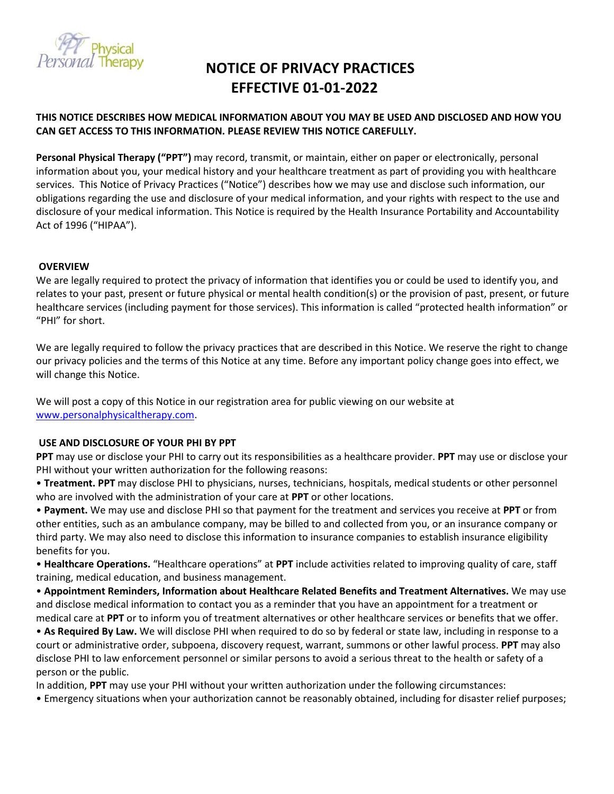

# **NOTICE OF PRIVACY PRACTICES EFFECTIVE 01-01-2022**

## **THIS NOTICE DESCRIBES HOW MEDICAL INFORMATION ABOUT YOU MAY BE USED AND DISCLOSED AND HOW YOU CAN GET ACCESS TO THIS INFORMATION. PLEASE REVIEW THIS NOTICE CAREFULLY.**

**Personal Physical Therapy ("PPT")** may record, transmit, or maintain, either on paper or electronically, personal information about you, your medical history and your healthcare treatment as part of providing you with healthcare services. This Notice of Privacy Practices ("Notice") describes how we may use and disclose such information, our obligations regarding the use and disclosure of your medical information, and your rights with respect to the use and disclosure of your medical information. This Notice is required by the Health Insurance Portability and Accountability Act of 1996 ("HIPAA").

### **OVERVIEW**

We are legally required to protect the privacy of information that identifies you or could be used to identify you, and relates to your past, present or future physical or mental health condition(s) or the provision of past, present, or future healthcare services (including payment for those services). This information is called "protected health information" or "PHI" for short.

We are legally required to follow the privacy practices that are described in this Notice. We reserve the right to change our privacy policies and the terms of this Notice at any time. Before any important policy change goes into effect, we will change this Notice.

We will post a copy of this Notice in our registration area for public viewing on our website at [www.personalphysicaltherapy.com.](http://www.personalphysicaltherapy.com/)

## **USE AND DISCLOSURE OF YOUR PHI BY PPT**

**PPT** may use or disclose your PHI to carry out its responsibilities as a healthcare provider. **PPT** may use or disclose your PHI without your written authorization for the following reasons:

• **Treatment. PPT** may disclose PHI to physicians, nurses, technicians, hospitals, medical students or other personnel who are involved with the administration of your care at **PPT** or other locations.

• **Payment.** We may use and disclose PHI so that payment for the treatment and services you receive at **PPT** or from other entities, such as an ambulance company, may be billed to and collected from you, or an insurance company or third party. We may also need to disclose this information to insurance companies to establish insurance eligibility benefits for you.

• **Healthcare Operations.** "Healthcare operations" at **PPT** include activities related to improving quality of care, staff training, medical education, and business management.

• **Appointment Reminders, Information about Healthcare Related Benefits and Treatment Alternatives.** We may use and disclose medical information to contact you as a reminder that you have an appointment for a treatment or medical care at **PPT** or to inform you of treatment alternatives or other healthcare services or benefits that we offer.

• **As Required By Law.** We will disclose PHI when required to do so by federal or state law, including in response to a court or administrative order, subpoena, discovery request, warrant, summons or other lawful process. **PPT** may also disclose PHI to law enforcement personnel or similar persons to avoid a serious threat to the health or safety of a person or the public.

In addition, **PPT** may use your PHI without your written authorization under the following circumstances:

• Emergency situations when your authorization cannot be reasonably obtained, including for disaster relief purposes;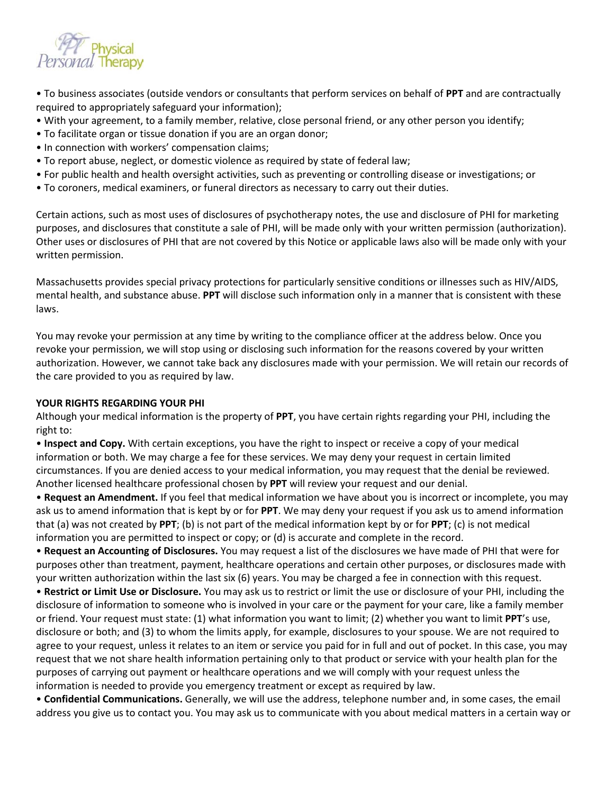

• To business associates (outside vendors or consultants that perform services on behalf of **PPT** and are contractually required to appropriately safeguard your information);

- With your agreement, to a family member, relative, close personal friend, or any other person you identify;
- To facilitate organ or tissue donation if you are an organ donor;
- In connection with workers' compensation claims;
- To report abuse, neglect, or domestic violence as required by state of federal law;
- For public health and health oversight activities, such as preventing or controlling disease or investigations; or
- To coroners, medical examiners, or funeral directors as necessary to carry out their duties.

Certain actions, such as most uses of disclosures of psychotherapy notes, the use and disclosure of PHI for marketing purposes, and disclosures that constitute a sale of PHI, will be made only with your written permission (authorization). Other uses or disclosures of PHI that are not covered by this Notice or applicable laws also will be made only with your written permission.

Massachusetts provides special privacy protections for particularly sensitive conditions or illnesses such as HIV/AIDS, mental health, and substance abuse. **PPT** will disclose such information only in a manner that is consistent with these laws.

You may revoke your permission at any time by writing to the compliance officer at the address below. Once you revoke your permission, we will stop using or disclosing such information for the reasons covered by your written authorization. However, we cannot take back any disclosures made with your permission. We will retain our records of the care provided to you as required by law.

## **YOUR RIGHTS REGARDING YOUR PHI**

Although your medical information is the property of **PPT**, you have certain rights regarding your PHI, including the right to:

• **Inspect and Copy.** With certain exceptions, you have the right to inspect or receive a copy of your medical information or both. We may charge a fee for these services. We may deny your request in certain limited circumstances. If you are denied access to your medical information, you may request that the denial be reviewed. Another licensed healthcare professional chosen by **PPT** will review your request and our denial.

• **Request an Amendment.** If you feel that medical information we have about you is incorrect or incomplete, you may ask us to amend information that is kept by or for **PPT**. We may deny your request if you ask us to amend information that (a) was not created by **PPT**; (b) is not part of the medical information kept by or for **PPT**; (c) is not medical information you are permitted to inspect or copy; or (d) is accurate and complete in the record.

• **Request an Accounting of Disclosures.** You may request a list of the disclosures we have made of PHI that were for purposes other than treatment, payment, healthcare operations and certain other purposes, or disclosures made with your written authorization within the last six (6) years. You may be charged a fee in connection with this request.

• **Restrict or Limit Use or Disclosure.** You may ask us to restrict or limit the use or disclosure of your PHI, including the disclosure of information to someone who is involved in your care or the payment for your care, like a family member or friend. Your request must state: (1) what information you want to limit; (2) whether you want to limit **PPT**'s use, disclosure or both; and (3) to whom the limits apply, for example, disclosures to your spouse. We are not required to agree to your request, unless it relates to an item or service you paid for in full and out of pocket. In this case, you may request that we not share health information pertaining only to that product or service with your health plan for the purposes of carrying out payment or healthcare operations and we will comply with your request unless the information is needed to provide you emergency treatment or except as required by law.

• **Confidential Communications.** Generally, we will use the address, telephone number and, in some cases, the email address you give us to contact you. You may ask us to communicate with you about medical matters in a certain way or